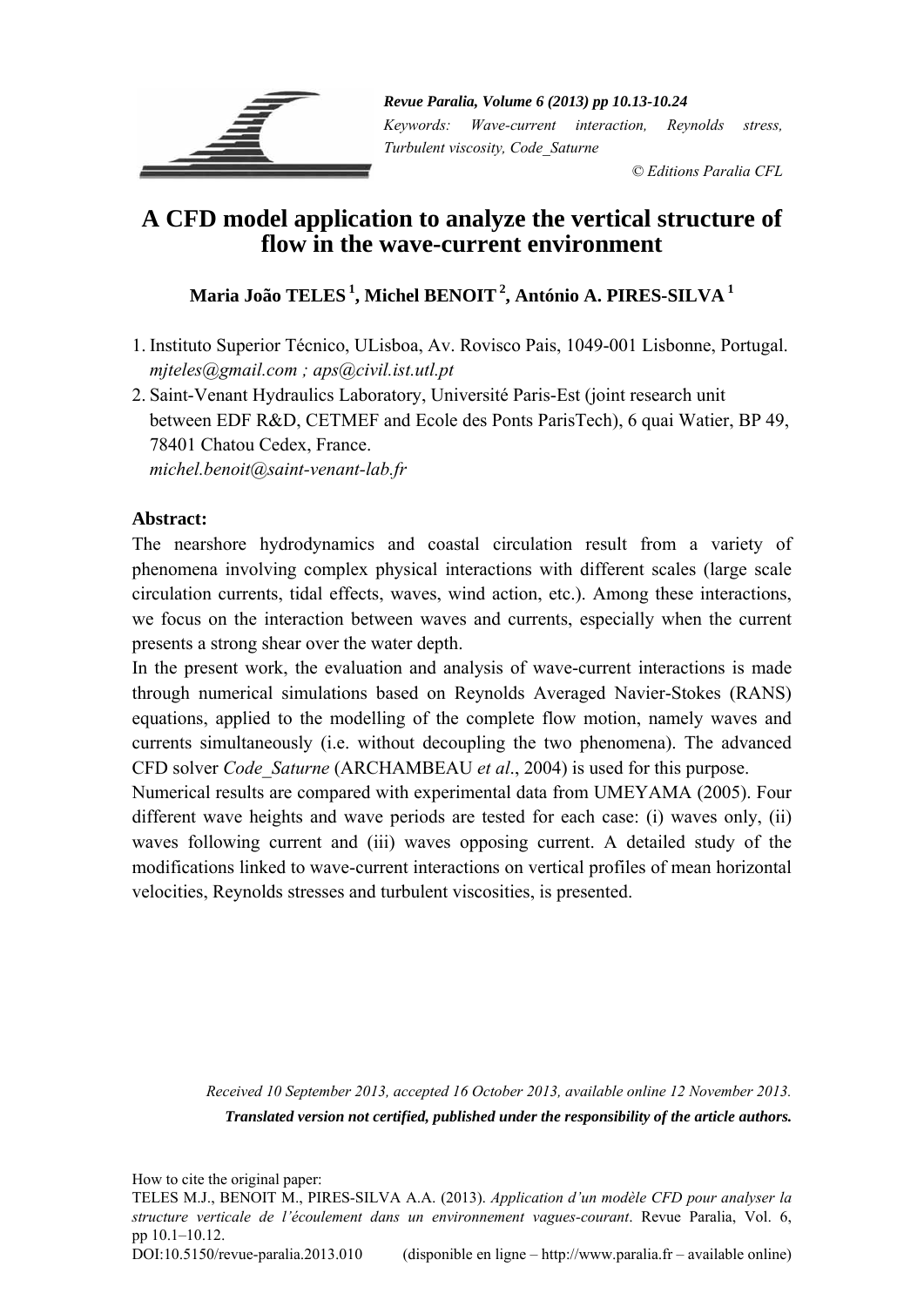

*Revue Paralia, Volume 6 (2013) pp 10.13-10.24 Keywords: Wave-current interaction, Reynolds stress, Turbulent viscosity, Code\_Saturne* 

 *© Editions Paralia CFL*

# **A CFD model application to analyze the vertical structure of flow in the wave-current environment**

## **Maria João TELES 1, Michel BENOIT 2, António A. PIRES-SILVA 1**

1. Instituto Superior Técnico, ULisboa, Av. Rovisco Pais, 1049-001 Lisbonne, Portugal. *mjteles@gmail.com ; aps@civil.ist.utl.pt* 

2. Saint-Venant Hydraulics Laboratory, Université Paris-Est (joint research unit between EDF R&D, CETMEF and Ecole des Ponts ParisTech), 6 quai Watier, BP 49, 78401 Chatou Cedex, France. *michel.benoit@saint-venant-lab.fr* 

**Abstract:** 

The nearshore hydrodynamics and coastal circulation result from a variety of phenomena involving complex physical interactions with different scales (large scale circulation currents, tidal effects, waves, wind action, etc.). Among these interactions, we focus on the interaction between waves and currents, especially when the current presents a strong shear over the water depth.

In the present work, the evaluation and analysis of wave-current interactions is made through numerical simulations based on Reynolds Averaged Navier-Stokes (RANS) equations, applied to the modelling of the complete flow motion, namely waves and currents simultaneously (i.e. without decoupling the two phenomena). The advanced CFD solver *Code\_Saturne* (ARCHAMBEAU *et al*., 2004) is used for this purpose.

Numerical results are compared with experimental data from UMEYAMA (2005). Four different wave heights and wave periods are tested for each case: (i) waves only, (ii) waves following current and (iii) waves opposing current. A detailed study of the modifications linked to wave-current interactions on vertical profiles of mean horizontal velocities, Reynolds stresses and turbulent viscosities, is presented.

> *Received 10 September 2013, accepted 16 October 2013, available online 12 November 2013. Translated version not certified, published under the responsibility of the article authors.*

How to cite the original paper:

TELES M.J., BENOIT M., PIRES-SILVA A.A. (2013). *Application d'un modèle CFD pour analyser la structure verticale de l'écoulement dans un environnement vagues-courant*. Revue Paralia, Vol. 6, pp 10.1–10.12.

DOI:10.5150/revue-paralia.2013.010 (disponible en ligne – http://www.paralia.fr – available online)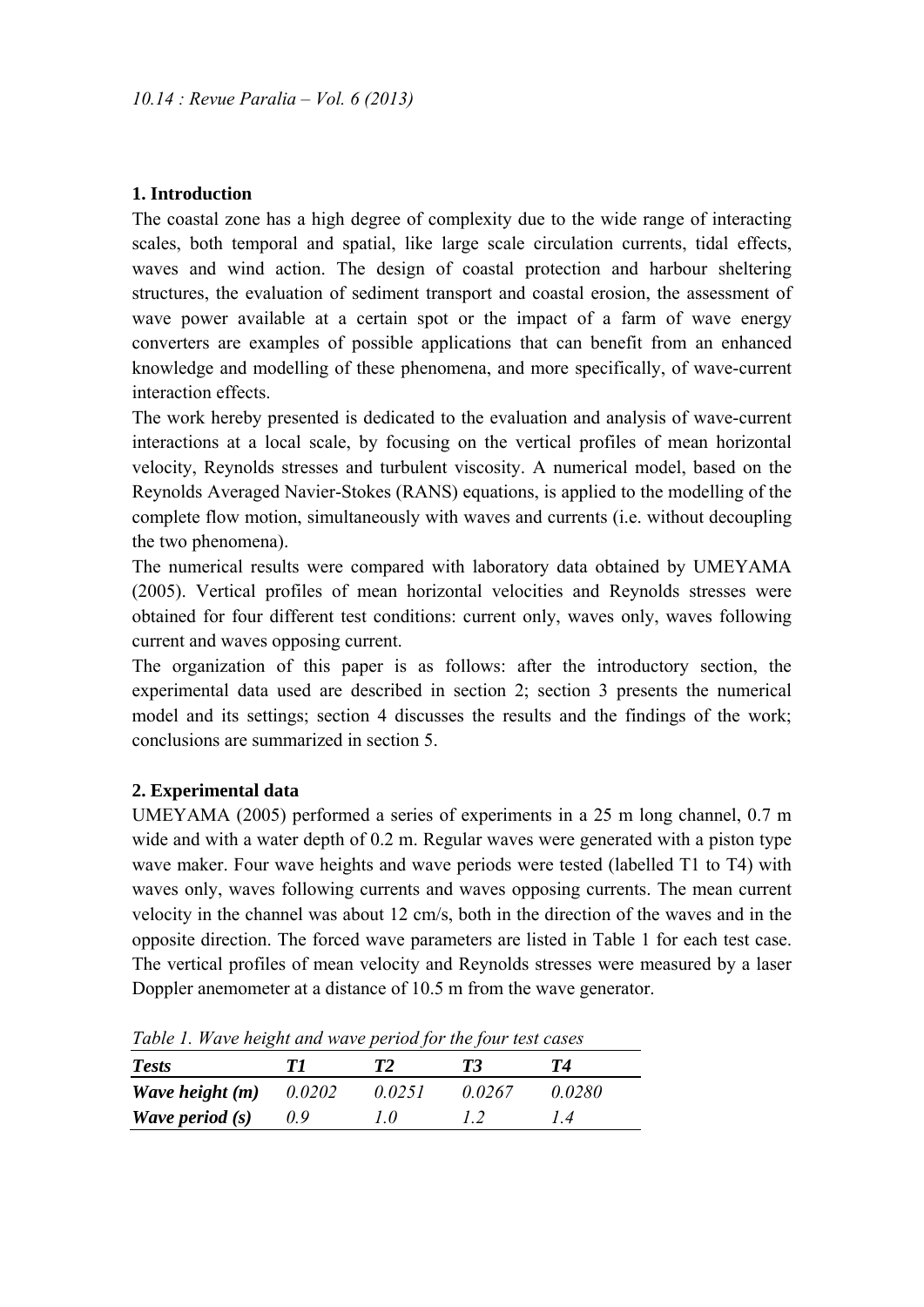## **1. Introduction**

The coastal zone has a high degree of complexity due to the wide range of interacting scales, both temporal and spatial, like large scale circulation currents, tidal effects, waves and wind action. The design of coastal protection and harbour sheltering structures, the evaluation of sediment transport and coastal erosion, the assessment of wave power available at a certain spot or the impact of a farm of wave energy converters are examples of possible applications that can benefit from an enhanced knowledge and modelling of these phenomena, and more specifically, of wave-current interaction effects.

The work hereby presented is dedicated to the evaluation and analysis of wave-current interactions at a local scale, by focusing on the vertical profiles of mean horizontal velocity, Reynolds stresses and turbulent viscosity. A numerical model, based on the Reynolds Averaged Navier-Stokes (RANS) equations, is applied to the modelling of the complete flow motion, simultaneously with waves and currents (i.e. without decoupling the two phenomena).

The numerical results were compared with laboratory data obtained by UMEYAMA (2005). Vertical profiles of mean horizontal velocities and Reynolds stresses were obtained for four different test conditions: current only, waves only, waves following current and waves opposing current.

The organization of this paper is as follows: after the introductory section, the experimental data used are described in section 2; section 3 presents the numerical model and its settings; section 4 discusses the results and the findings of the work; conclusions are summarized in section 5.

## **2. Experimental data**

UMEYAMA (2005) performed a series of experiments in a 25 m long channel, 0.7 m wide and with a water depth of 0.2 m. Regular waves were generated with a piston type wave maker. Four wave heights and wave periods were tested (labelled T1 to T4) with waves only, waves following currents and waves opposing currents. The mean current velocity in the channel was about 12 cm/s, both in the direction of the waves and in the opposite direction. The forced wave parameters are listed in Table 1 for each test case. The vertical profiles of mean velocity and Reynolds stresses were measured by a laser Doppler anemometer at a distance of 10.5 m from the wave generator.

| Table 1. Wave helght and wave period for the four lest cases |               |        |        |               |  |
|--------------------------------------------------------------|---------------|--------|--------|---------------|--|
| <b>Tests</b>                                                 | 77            | T2     | T3     | T4            |  |
| Wave height (m)                                              | 0.0202        | 0.0251 | 0.0267 | 0.0280        |  |
| <i>Wave period</i> $(s)$                                     | $0.9^{\circ}$ | 10     | I 2    | $\frac{1}{4}$ |  |

*Table 1. Wave height and wave period for the four test cases*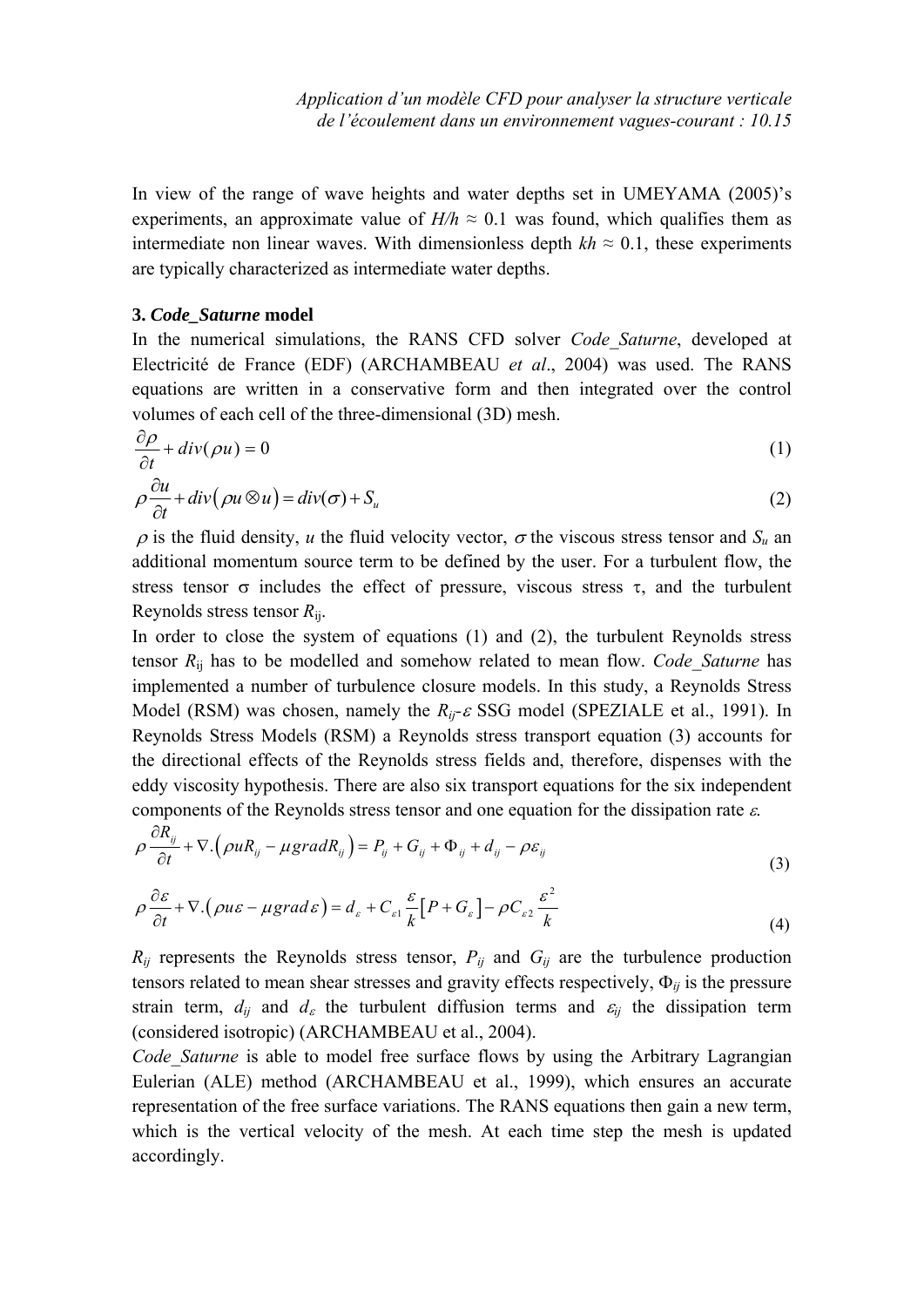In view of the range of wave heights and water depths set in UMEYAMA (2005)'s experiments, an approximate value of  $H/h \approx 0.1$  was found, which qualifies them as intermediate non linear waves. With dimensionless depth  $kh \approx 0.1$ , these experiments are typically characterized as intermediate water depths.

### **3.** *Code\_Saturne* **model**

In the numerical simulations, the RANS CFD solver *Code\_Saturne*, developed at Electricité de France (EDF) (ARCHAMBEAU *et al*., 2004) was used. The RANS equations are written in a conservative form and then integrated over the control volumes of each cell of the three-dimensional (3D) mesh.

$$
\frac{\partial \rho}{\partial t} + div(\rho u) = 0
$$
\n
$$
\rho \frac{\partial u}{\partial t} + div(\rho u \otimes u) = div(\sigma) + S_u
$$
\n(1)\n(2)

 $\rho$  is the fluid density, *u* the fluid velocity vector,  $\sigma$  the viscous stress tensor and  $S_u$  and additional momentum source term to be defined by the user. For a turbulent flow, the stress tensor  $\sigma$  includes the effect of pressure, viscous stress  $\tau$ , and the turbulent Reynolds stress tensor *R*ij.

In order to close the system of equations (1) and (2), the turbulent Reynolds stress tensor *R*ij has to be modelled and somehow related to mean flow. *Code\_Saturne* has implemented a number of turbulence closure models. In this study, a Reynolds Stress Model (RSM) was chosen, namely the  $R_{ij}$ - $\varepsilon$  SSG model (SPEZIALE et al., 1991). In Reynolds Stress Models (RSM) a Reynolds stress transport equation (3) accounts for the directional effects of the Reynolds stress fields and, therefore, dispenses with the eddy viscosity hypothesis. There are also six transport equations for the six independent components of the Reynolds stress tensor and one equation for the dissipation rate  $\varepsilon$ .

$$
\rho \frac{\partial R_{ij}}{\partial t} + \nabla \left( \rho u R_{ij} - \mu \text{grad} R_{ij} \right) = P_{ij} + G_{ij} + \Phi_{ij} + d_{ij} - \rho \varepsilon_{ij}
$$
\n(3)

$$
\rho \frac{\partial \varepsilon}{\partial t} + \nabla \cdot (\rho u \varepsilon - \mu \text{grad} \varepsilon) = d_{\varepsilon} + C_{\varepsilon 1} \frac{\varepsilon}{k} \left[ P + G_{\varepsilon} \right] - \rho C_{\varepsilon 2} \frac{\varepsilon^2}{k}
$$
(4)

 $R_{ij}$  represents the Reynolds stress tensor,  $P_{ij}$  and  $G_{ij}$  are the turbulence production tensors related to mean shear stresses and gravity effects respectively,  $\Phi_{ij}$  is the pressure strain term,  $d_{ij}$  and  $d_{\varepsilon}$  the turbulent diffusion terms and  $\varepsilon_{ij}$  the dissipation term (considered isotropic) (ARCHAMBEAU et al., 2004).

*Code Saturne* is able to model free surface flows by using the Arbitrary Lagrangian Eulerian (ALE) method (ARCHAMBEAU et al., 1999), which ensures an accurate representation of the free surface variations. The RANS equations then gain a new term, which is the vertical velocity of the mesh. At each time step the mesh is updated accordingly.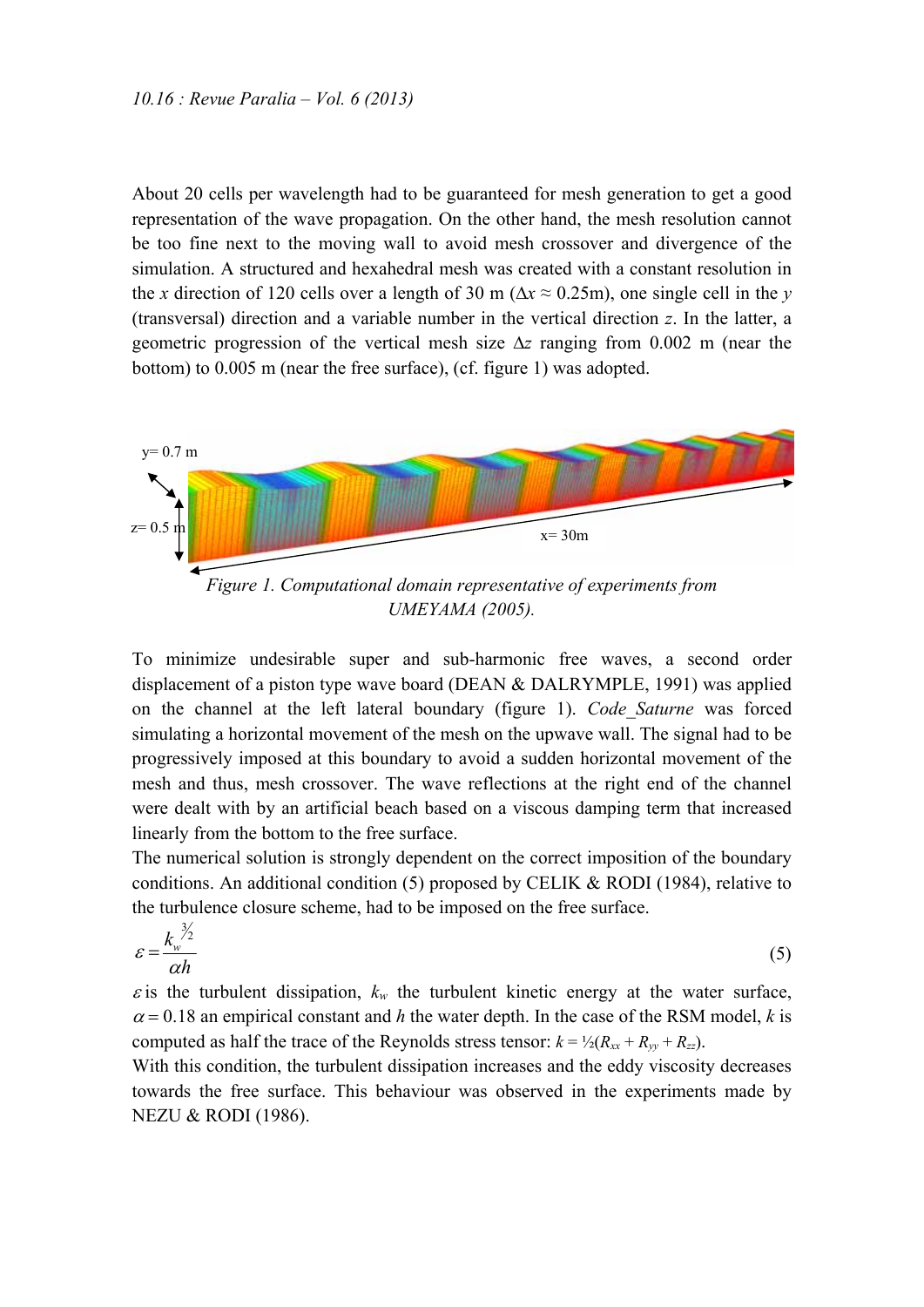About 20 cells per wavelength had to be guaranteed for mesh generation to get a good representation of the wave propagation. On the other hand, the mesh resolution cannot be too fine next to the moving wall to avoid mesh crossover and divergence of the simulation. A structured and hexahedral mesh was created with a constant resolution in the *x* direction of 120 cells over a length of 30 m ( $\Delta x \approx 0.25$ m), one single cell in the *y* (transversal) direction and a variable number in the vertical direction *z*. In the latter, a geometric progression of the vertical mesh size  $\Delta z$  ranging from 0.002 m (near the bottom) to 0.005 m (near the free surface), (cf. figure 1) was adopted.



#### *UMEYAMA (2005).*

To minimize undesirable super and sub-harmonic free waves, a second order displacement of a piston type wave board (DEAN & DALRYMPLE, 1991) was applied on the channel at the left lateral boundary (figure 1). *Code\_Saturne* was forced simulating a horizontal movement of the mesh on the upwave wall. The signal had to be progressively imposed at this boundary to avoid a sudden horizontal movement of the mesh and thus, mesh crossover. The wave reflections at the right end of the channel were dealt with by an artificial beach based on a viscous damping term that increased linearly from the bottom to the free surface.

The numerical solution is strongly dependent on the correct imposition of the boundary conditions. An additional condition (5) proposed by CELIK & RODI (1984), relative to the turbulence closure scheme, had to be imposed on the free surface.

$$
\varepsilon = \frac{k_w^{\frac{3}{2}}}{\alpha h} \tag{5}
$$

 $\epsilon$  is the turbulent dissipation,  $k_w$  the turbulent kinetic energy at the water surface,  $\alpha = 0.18$  an empirical constant and *h* the water depth. In the case of the RSM model, *k* is computed as half the trace of the Reynolds stress tensor:  $k = \frac{1}{2}(R_{xx} + R_{yy} + R_{zz})$ .

With this condition, the turbulent dissipation increases and the eddy viscosity decreases towards the free surface. This behaviour was observed in the experiments made by NEZU & RODI (1986).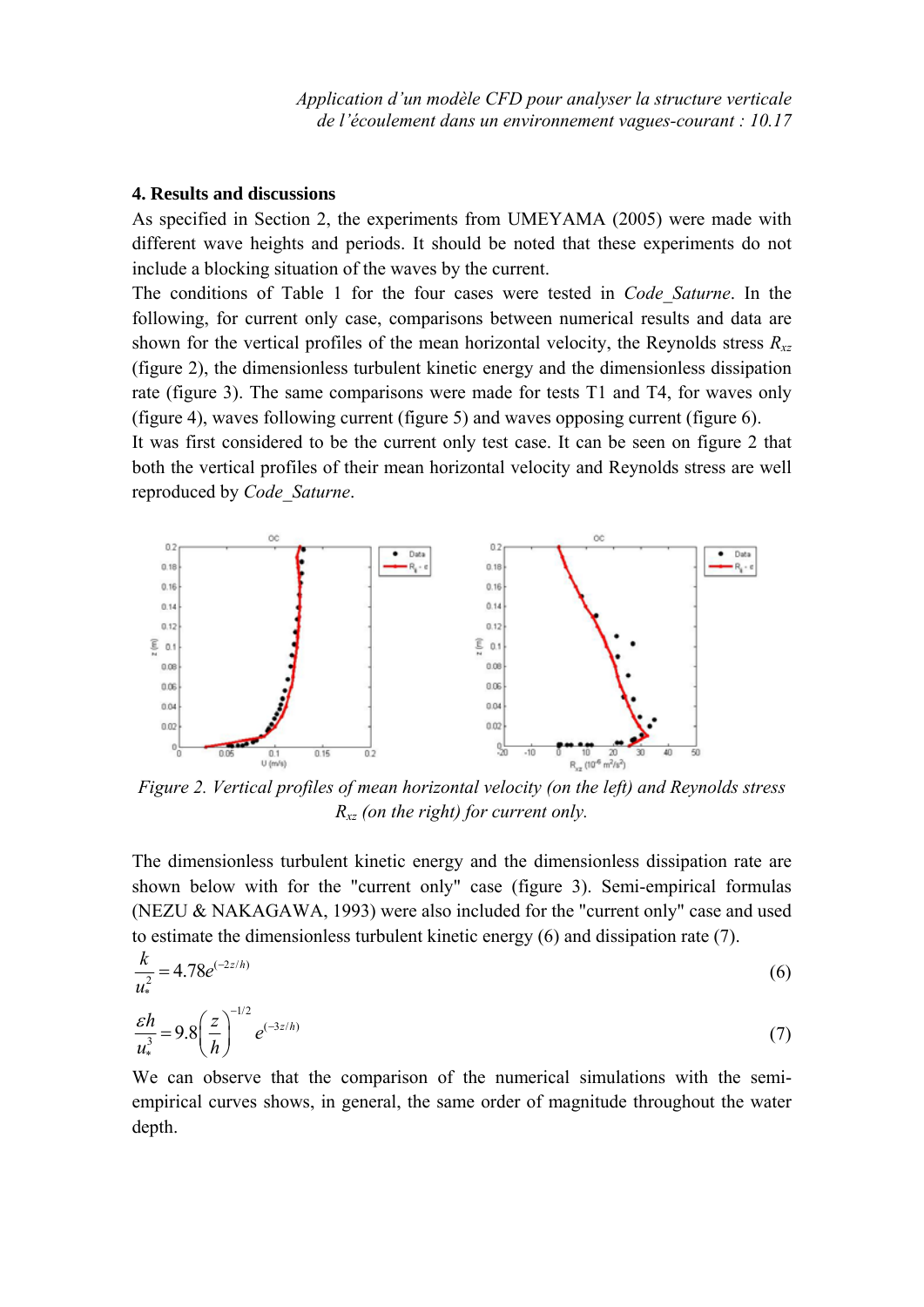### **4. Results and discussions**

As specified in Section 2, the experiments from UMEYAMA (2005) were made with different wave heights and periods. It should be noted that these experiments do not include a blocking situation of the waves by the current.

The conditions of Table 1 for the four cases were tested in *Code\_Saturne*. In the following, for current only case, comparisons between numerical results and data are shown for the vertical profiles of the mean horizontal velocity, the Reynolds stress  $R_{xz}$ (figure 2), the dimensionless turbulent kinetic energy and the dimensionless dissipation rate (figure 3). The same comparisons were made for tests T1 and T4, for waves only (figure 4), waves following current (figure 5) and waves opposing current (figure 6).

It was first considered to be the current only test case. It can be seen on figure 2 that both the vertical profiles of their mean horizontal velocity and Reynolds stress are well reproduced by *Code\_Saturne*.



*Figure 2. Vertical profiles of mean horizontal velocity (on the left) and Reynolds stress Rxz (on the right) for current only.* 

The dimensionless turbulent kinetic energy and the dimensionless dissipation rate are shown below with for the "current only" case (figure 3). Semi-empirical formulas (NEZU & NAKAGAWA, 1993) were also included for the "current only" case and used to estimate the dimensionless turbulent kinetic energy (6) and dissipation rate (7).

$$
\frac{k}{u_*^2} = 4.78e^{(-2z/h)}
$$
 (6)

$$
\frac{\varepsilon h}{u_*^3} = 9.8 \left(\frac{z}{h}\right)^{-1/2} e^{(-3z/h)}
$$
 (7)

We can observe that the comparison of the numerical simulations with the semiempirical curves shows, in general, the same order of magnitude throughout the water depth.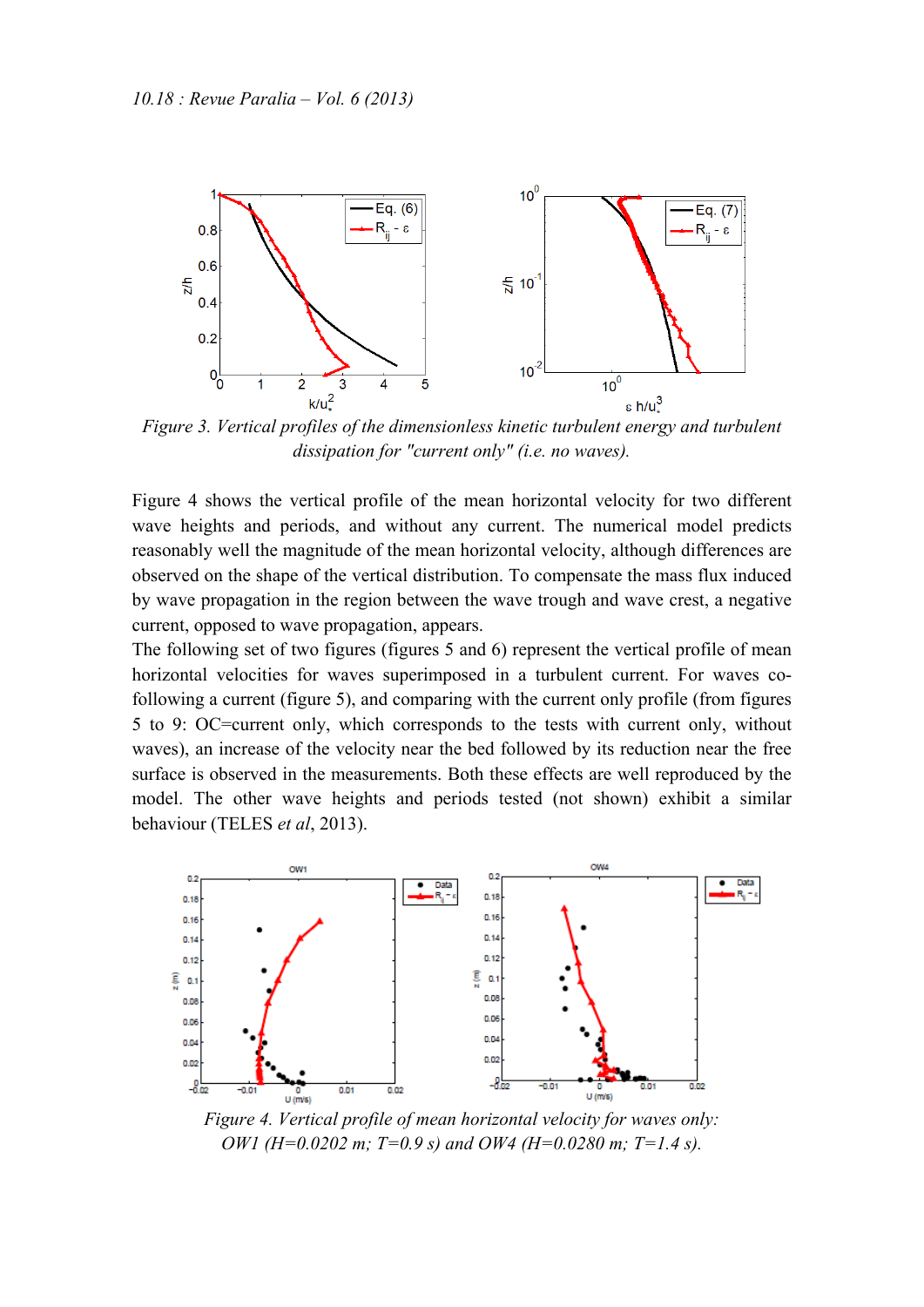

*Figure 3. Vertical profiles of the dimensionless kinetic turbulent energy and turbulent dissipation for "current only" (i.e. no waves).* 

Figure 4 shows the vertical profile of the mean horizontal velocity for two different wave heights and periods, and without any current. The numerical model predicts reasonably well the magnitude of the mean horizontal velocity, although differences are observed on the shape of the vertical distribution. To compensate the mass flux induced by wave propagation in the region between the wave trough and wave crest, a negative current, opposed to wave propagation, appears.

The following set of two figures (figures 5 and 6) represent the vertical profile of mean horizontal velocities for waves superimposed in a turbulent current. For waves cofollowing a current (figure 5), and comparing with the current only profile (from figures 5 to 9: OC=current only, which corresponds to the tests with current only, without waves), an increase of the velocity near the bed followed by its reduction near the free surface is observed in the measurements. Both these effects are well reproduced by the model. The other wave heights and periods tested (not shown) exhibit a similar behaviour (TELES *et al*, 2013).



*Figure 4. Vertical profile of mean horizontal velocity for waves only: OW1 (H=0.0202 m; T=0.9 s) and OW4 (H=0.0280 m; T=1.4 s).*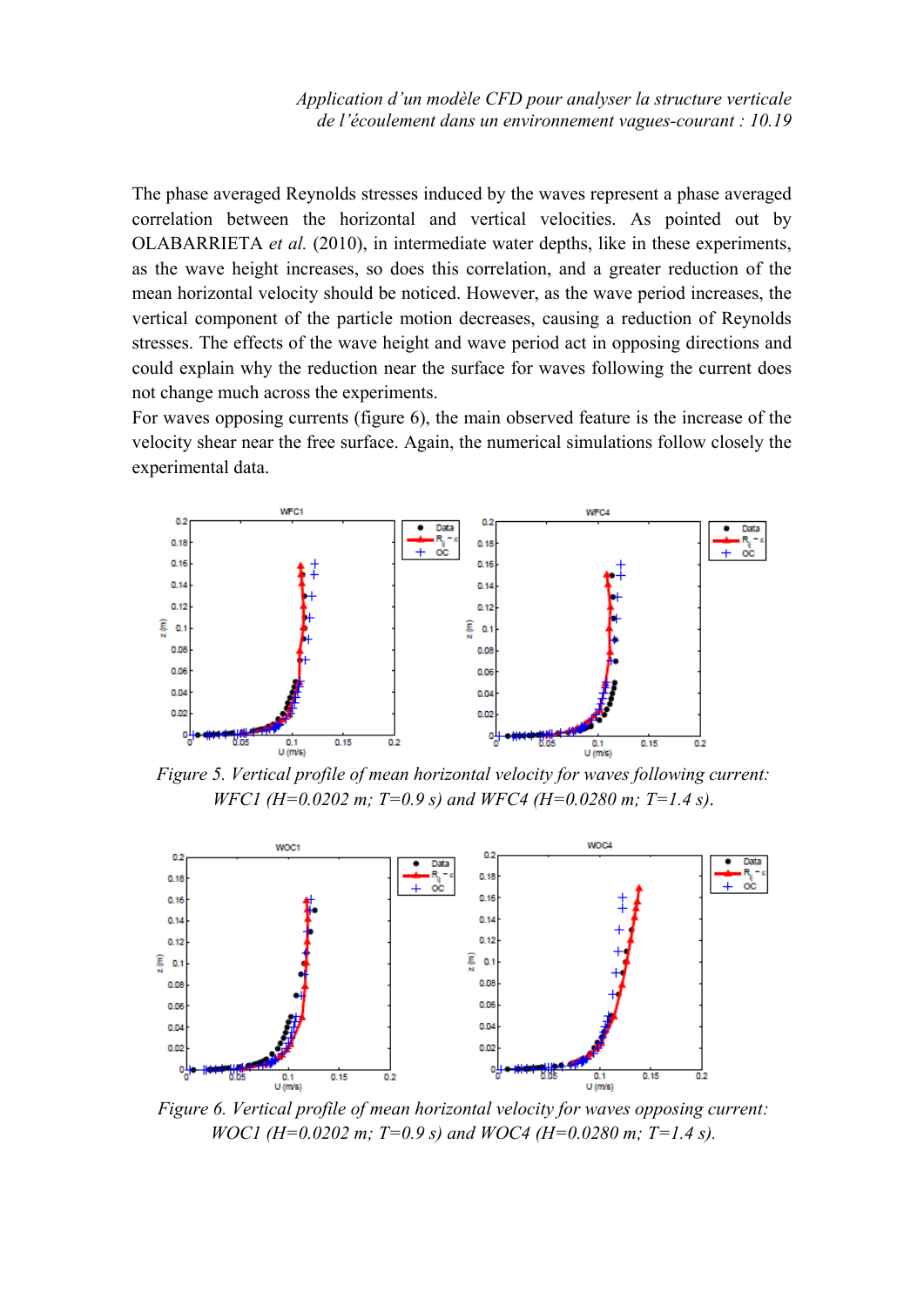The phase averaged Reynolds stresses induced by the waves represent a phase averaged correlation between the horizontal and vertical velocities. As pointed out by OLABARRIETA *et al.* (2010), in intermediate water depths, like in these experiments, as the wave height increases, so does this correlation, and a greater reduction of the mean horizontal velocity should be noticed. However, as the wave period increases, the vertical component of the particle motion decreases, causing a reduction of Reynolds stresses. The effects of the wave height and wave period act in opposing directions and could explain why the reduction near the surface for waves following the current does not change much across the experiments.

For waves opposing currents (figure 6), the main observed feature is the increase of the velocity shear near the free surface. Again, the numerical simulations follow closely the experimental data.



*Figure 5. Vertical profile of mean horizontal velocity for waves following current: WFC1 (H=0.0202 m; T=0.9 s) and WFC4 (H=0.0280 m; T=1.4 s)*.



*Figure 6. Vertical profile of mean horizontal velocity for waves opposing current: WOC1* (*H*=0.0202 *m*; *T*=0.9 *s*) and *WOC4* (*H*=0.0280 *m*; *T*=1.4 *s*).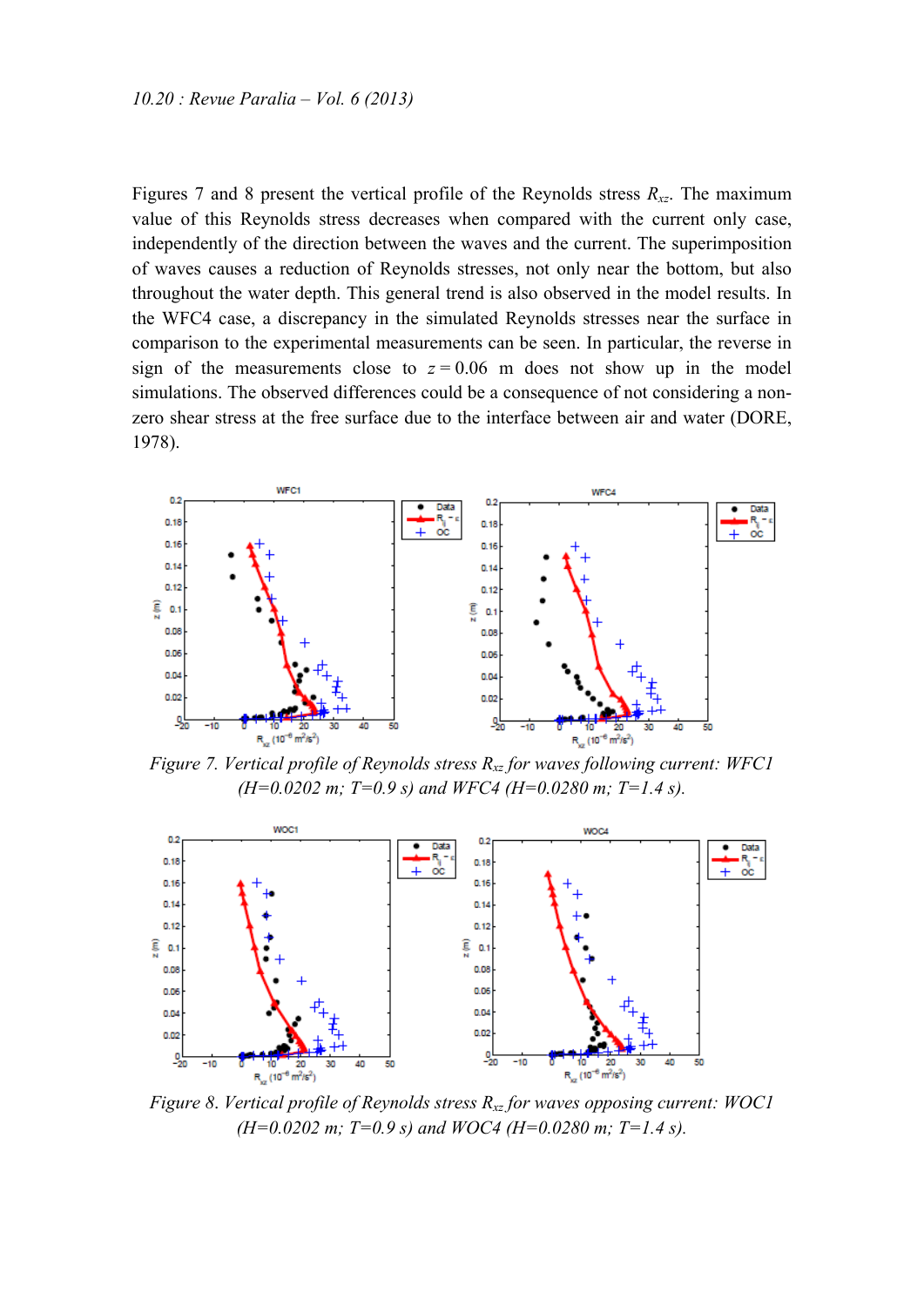Figures 7 and 8 present the vertical profile of the Reynolds stress  $R_{xz}$ . The maximum value of this Reynolds stress decreases when compared with the current only case, independently of the direction between the waves and the current. The superimposition of waves causes a reduction of Reynolds stresses, not only near the bottom, but also throughout the water depth. This general trend is also observed in the model results. In the WFC4 case, a discrepancy in the simulated Reynolds stresses near the surface in comparison to the experimental measurements can be seen. In particular, the reverse in sign of the measurements close to  $z = 0.06$  m does not show up in the model simulations. The observed differences could be a consequence of not considering a nonzero shear stress at the free surface due to the interface between air and water (DORE, 1978).



*Figure 7. Vertical profile of Reynolds stress Rxz for waves following current: WFC1 (H=0.0202 m; T=0.9 s) and WFC4 (H=0.0280 m; T=1.4 s).* 



*Figure 8*. *Vertical profile of Reynolds stress Rxz for waves opposing current: WOC1 (H=0.0202 m; T=0.9 s) and WOC4 (H=0.0280 m; T=1.4 s).*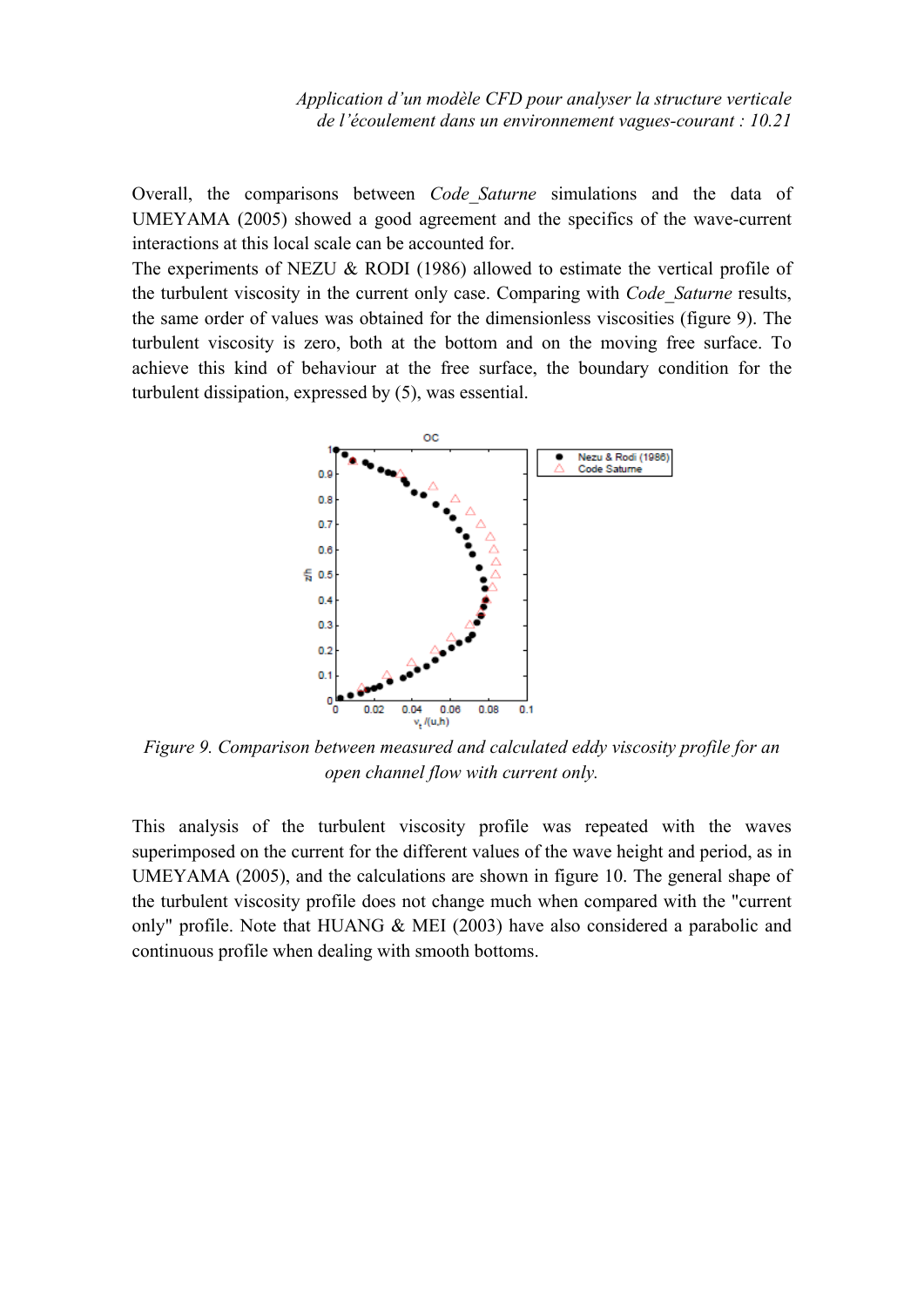*Application d'un modèle CFD pour analyser la structure verticale de l'écoulement dans un environnement vagues-courant : 10.21*

Overall, the comparisons between *Code\_Saturne* simulations and the data of UMEYAMA (2005) showed a good agreement and the specifics of the wave-current interactions at this local scale can be accounted for.

The experiments of NEZU & RODI (1986) allowed to estimate the vertical profile of the turbulent viscosity in the current only case. Comparing with *Code\_Saturne* results, the same order of values was obtained for the dimensionless viscosities (figure 9). The turbulent viscosity is zero, both at the bottom and on the moving free surface. To achieve this kind of behaviour at the free surface, the boundary condition for the turbulent dissipation, expressed by (5), was essential.



*Figure 9. Comparison between measured and calculated eddy viscosity profile for an open channel flow with current only.* 

This analysis of the turbulent viscosity profile was repeated with the waves superimposed on the current for the different values of the wave height and period, as in UMEYAMA (2005), and the calculations are shown in figure 10. The general shape of the turbulent viscosity profile does not change much when compared with the "current only" profile. Note that HUANG & MEI (2003) have also considered a parabolic and continuous profile when dealing with smooth bottoms.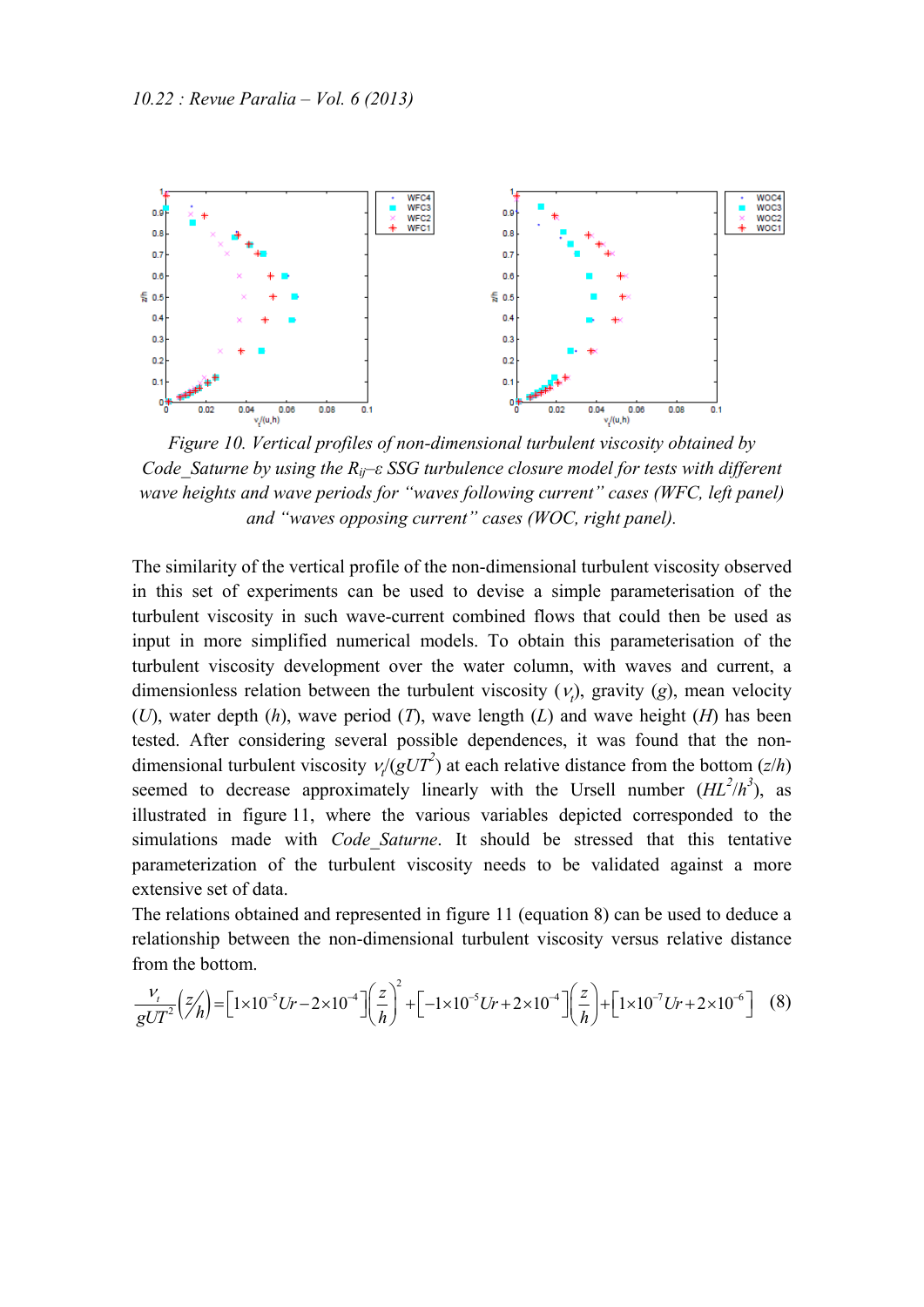

*Figure 10. Vertical profiles of non-dimensional turbulent viscosity obtained by Code\_Saturne by using the Rij–ε SSG turbulence closure model for tests with different wave heights and wave periods for "waves following current" cases (WFC, left panel) and "waves opposing current" cases (WOC, right panel).* 

The similarity of the vertical profile of the non-dimensional turbulent viscosity observed in this set of experiments can be used to devise a simple parameterisation of the turbulent viscosity in such wave-current combined flows that could then be used as input in more simplified numerical models. To obtain this parameterisation of the turbulent viscosity development over the water column, with waves and current, a dimensionless relation between the turbulent viscosity  $(v_t)$ , gravity  $(g)$ , mean velocity (*U*), water depth (*h*), wave period (*T*), wave length (*L*) and wave height (*H*) has been tested. After considering several possible dependences, it was found that the nondimensional turbulent viscosity  $\nu/(gUT^2)$  at each relative distance from the bottom (*z*/*h*) seemed to decrease approximately linearly with the Ursell number  $(HL^2/h^3)$ , as illustrated in figure 11, where the various variables depicted corresponded to the simulations made with *Code\_Saturne*. It should be stressed that this tentative parameterization of the turbulent viscosity needs to be validated against a more extensive set of data.

The relations obtained and represented in figure 11 (equation 8) can be used to deduce a relationship between the non-dimensional turbulent viscosity versus relative distance from the bottom.

$$
\frac{v_t}{gUT^2} \left(\frac{z}{h}\right) = \left[1 \times 10^{-5} Ur - 2 \times 10^{-4}\right] \left(\frac{z}{h}\right)^2 + \left[-1 \times 10^{-5} Ur + 2 \times 10^{-4}\right] \left(\frac{z}{h}\right) + \left[1 \times 10^{-7} Ur + 2 \times 10^{-6}\right] \tag{8}
$$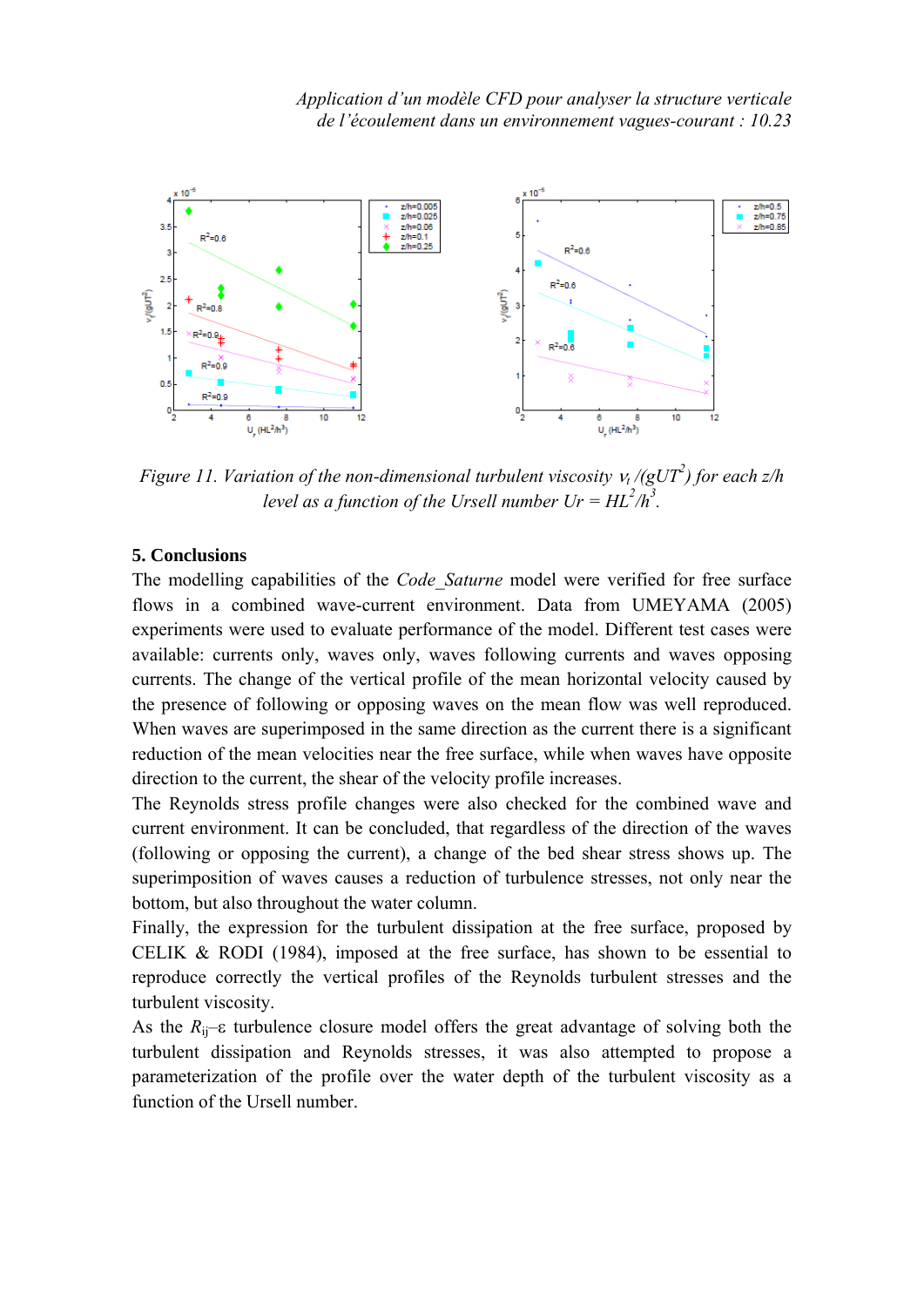

*Figure 11. Variation of the non-dimensional turbulent viscosity*  $v_t$  */(gUT<sup>2</sup>) for each*  $z/h$ *level as a function of the Ursell number*  $Ur = HL^2/h^3$ *.* 

## **5. Conclusions**

The modelling capabilities of the *Code\_Saturne* model were verified for free surface flows in a combined wave-current environment. Data from UMEYAMA (2005) experiments were used to evaluate performance of the model. Different test cases were available: currents only, waves only, waves following currents and waves opposing currents. The change of the vertical profile of the mean horizontal velocity caused by the presence of following or opposing waves on the mean flow was well reproduced. When waves are superimposed in the same direction as the current there is a significant reduction of the mean velocities near the free surface, while when waves have opposite direction to the current, the shear of the velocity profile increases.

The Reynolds stress profile changes were also checked for the combined wave and current environment. It can be concluded, that regardless of the direction of the waves (following or opposing the current), a change of the bed shear stress shows up. The superimposition of waves causes a reduction of turbulence stresses, not only near the bottom, but also throughout the water column.

Finally, the expression for the turbulent dissipation at the free surface, proposed by CELIK & RODI (1984), imposed at the free surface, has shown to be essential to reproduce correctly the vertical profiles of the Reynolds turbulent stresses and the turbulent viscosity.

As the  $R_{ii}$ – $\varepsilon$  turbulence closure model offers the great advantage of solving both the turbulent dissipation and Reynolds stresses, it was also attempted to propose a parameterization of the profile over the water depth of the turbulent viscosity as a function of the Ursell number.